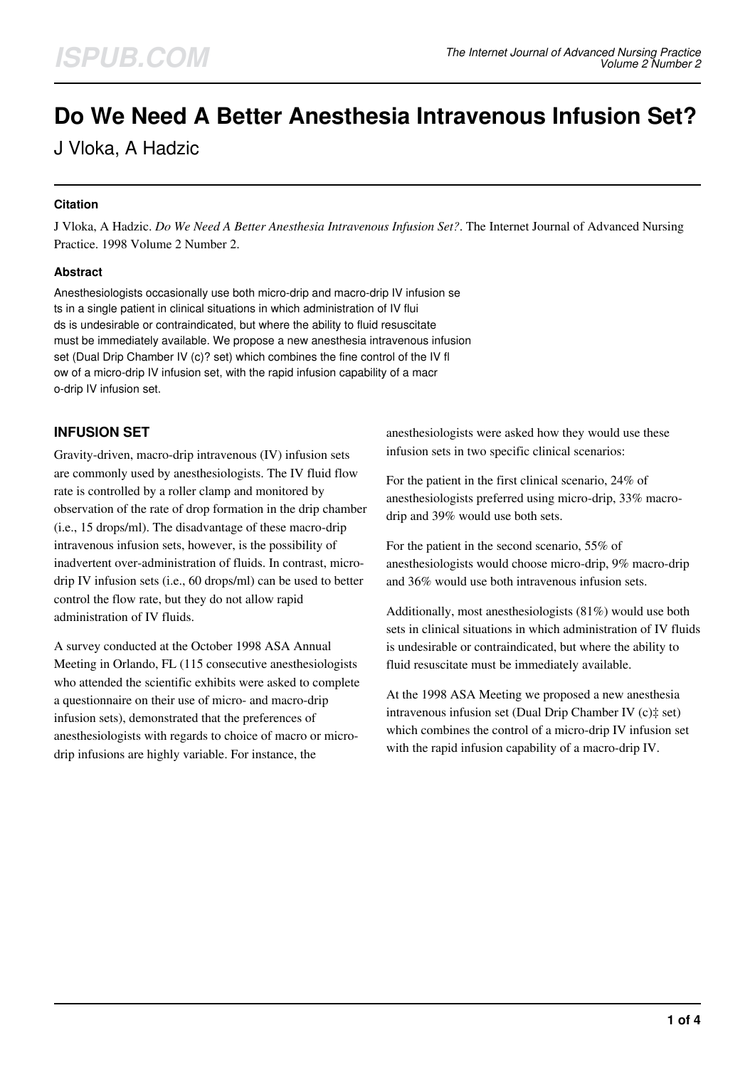# **Do We Need A Better Anesthesia Intravenous Infusion Set?**

J Vloka, A Hadzic

## **Citation**

J Vloka, A Hadzic. *Do We Need A Better Anesthesia Intravenous Infusion Set?*. The Internet Journal of Advanced Nursing Practice. 1998 Volume 2 Number 2.

## **Abstract**

Anesthesiologists occasionally use both micro-drip and macro-drip IV infusion se ts in a single patient in clinical situations in which administration of IV flui ds is undesirable or contraindicated, but where the ability to fluid resuscitate must be immediately available. We propose a new anesthesia intravenous infusion set (Dual Drip Chamber IV (c)? set) which combines the fine control of the IV fl ow of a micro-drip IV infusion set, with the rapid infusion capability of a macr o-drip IV infusion set.

## **INFUSION SET**

Gravity-driven, macro-drip intravenous (IV) infusion sets are commonly used by anesthesiologists. The IV fluid flow rate is controlled by a roller clamp and monitored by observation of the rate of drop formation in the drip chamber (i.e., 15 drops/ml). The disadvantage of these macro-drip intravenous infusion sets, however, is the possibility of inadvertent over-administration of fluids. In contrast, microdrip IV infusion sets (i.e., 60 drops/ml) can be used to better control the flow rate, but they do not allow rapid administration of IV fluids.

A survey conducted at the October 1998 ASA Annual Meeting in Orlando, FL (115 consecutive anesthesiologists who attended the scientific exhibits were asked to complete a questionnaire on their use of micro- and macro-drip infusion sets), demonstrated that the preferences of anesthesiologists with regards to choice of macro or microdrip infusions are highly variable. For instance, the

anesthesiologists were asked how they would use these infusion sets in two specific clinical scenarios:

For the patient in the first clinical scenario, 24% of anesthesiologists preferred using micro-drip, 33% macrodrip and 39% would use both sets.

For the patient in the second scenario, 55% of anesthesiologists would choose micro-drip, 9% macro-drip and 36% would use both intravenous infusion sets.

Additionally, most anesthesiologists (81%) would use both sets in clinical situations in which administration of IV fluids is undesirable or contraindicated, but where the ability to fluid resuscitate must be immediately available.

At the 1998 ASA Meeting we proposed a new anesthesia intravenous infusion set (Dual Drip Chamber IV (c)‡ set) which combines the control of a micro-drip IV infusion set with the rapid infusion capability of a macro-drip IV.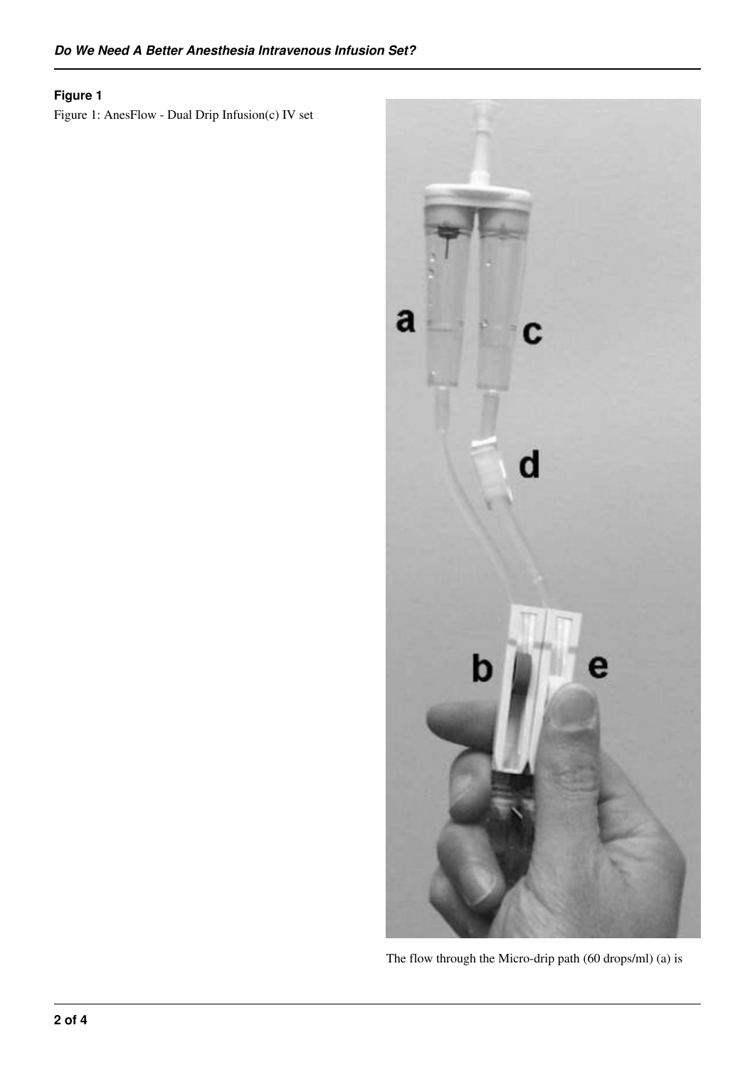# **Figure 1**

Figure 1: AnesFlow - Dual Drip Infusion(c) IV set



The flow through the Micro-drip path (60 drops/ml) (a) is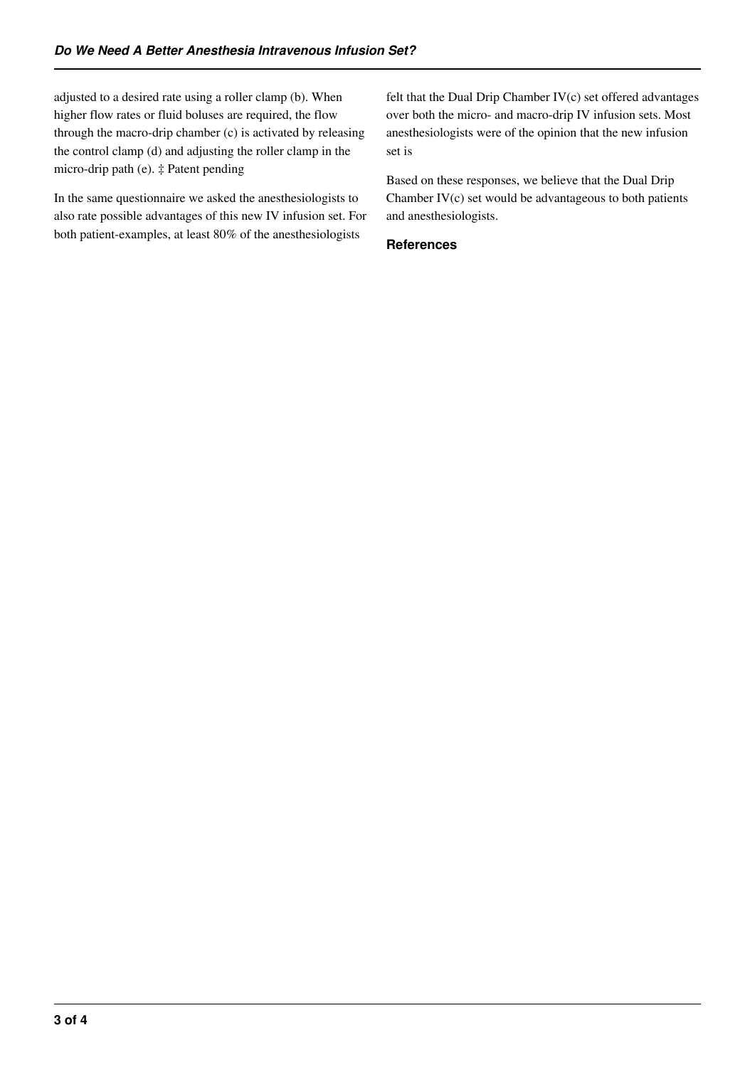adjusted to a desired rate using a roller clamp (b). When higher flow rates or fluid boluses are required, the flow through the macro-drip chamber (c) is activated by releasing the control clamp (d) and adjusting the roller clamp in the micro-drip path (e). ‡ Patent pending

In the same questionnaire we asked the anesthesiologists to also rate possible advantages of this new IV infusion set. For both patient-examples, at least 80% of the anesthesiologists

felt that the Dual Drip Chamber IV(c) set offered advantages over both the micro- and macro-drip IV infusion sets. Most anesthesiologists were of the opinion that the new infusion set is

Based on these responses, we believe that the Dual Drip Chamber IV(c) set would be advantageous to both patients and anesthesiologists.

#### **References**